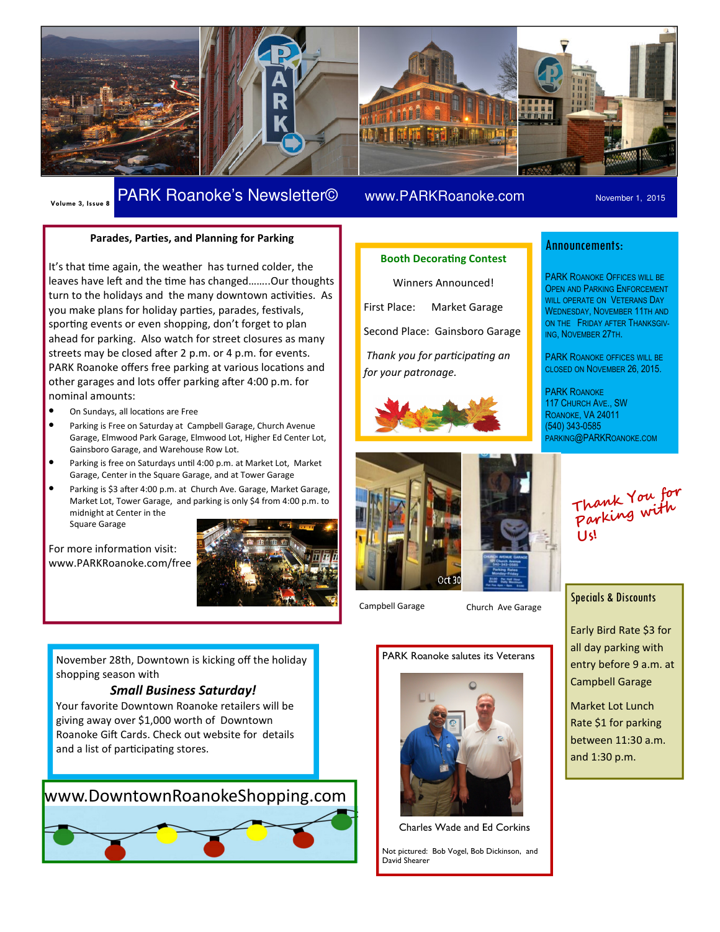

# Volume 3, Issue 8 PARK Roanoke's Newsletter© www.PARKRoanoke.com November 1, 2015

#### Parades, Parties, and Planning for Parking

It's that time again, the weather has turned colder, the leaves have left and the time has changed........ Our thoughts turn to the holidays and the many downtown activities. As you make plans for holiday parties, parades, festivals, sporting events or even shopping, don't forget to plan ahead for parking. Also watch for street closures as many streets may be closed after 2 p.m. or 4 p.m. for events. PARK Roanoke offers free parking at various locations and other garages and lots offer parking after 4:00 p.m. for nominal amounts:

- On Sundays, all locations are Free
- Parking is Free on Saturday at Campbell Garage, Church Avenue Garage, Elmwood Park Garage, Elmwood Lot, Higher Ed Center Lot, Gainsboro Garage, and Warehouse Row Lot.
- Parking is free on Saturdays until 4:00 p.m. at Market Lot, Market Garage, Center in the Square Garage, and at Tower Garage
- Parking is \$3 after 4:00 p.m. at Church Ave. Garage, Market Garage, Market Lot, Tower Garage, and parking is only \$4 from 4:00 p.m. to midnight at Center in the

Square Garage

For more information visit: www.PARKRoanoke.com/free



#### **Booth Decorating Contest**

Winners Announced! First Place: Market Garage Second Place: Gainsboro Garage Thank you for participating an for your patronage.





Campbell Garage Church Ave Garage

## Announcements:

PARK ROANOKE OFFICES WILL BE OPEN AND PARKING ENFORCEMENT WILL OPERATE ON VETERANS DAY WEDNESDAY, NOVEMBER 11TH AND ON THE FRIDAY AFTER THANKSGIV-ING, NOVEMBER 27TH.

PARK ROANOKE OFFICES WILL BE CLOSED ON NOVEMBER 26, 2015.

PARK ROANOKE 117 CHURCH AVE., SW ROANOKE, VA 24011 (540) 343-0585 PARKING@PARKROANOKE.COM

Thank You for Parking with Us!

### Specials & Discounts

Early Bird Rate \$3 for all day parking with entry before 9 a.m. at Campbell Garage

Market Lot Lunch Rate \$1 for parking between 11:30 a.m. and 1:30 p.m.

November 28th, Downtown is kicking off the holiday shopping season with

#### Small Business Saturday!

Your favorite Downtown Roanoke retailers will be giving away over \$1,000 worth of Downtown Roanoke Gift Cards. Check out website for details and a list of participating stores.

# www.DowntownRoanokeShopping.com



# PARK Roanoke salutes its Veterans



Charles Wade and Ed Corkins

Not pictured: Bob Vogel, Bob Dickinson, and David Shearer